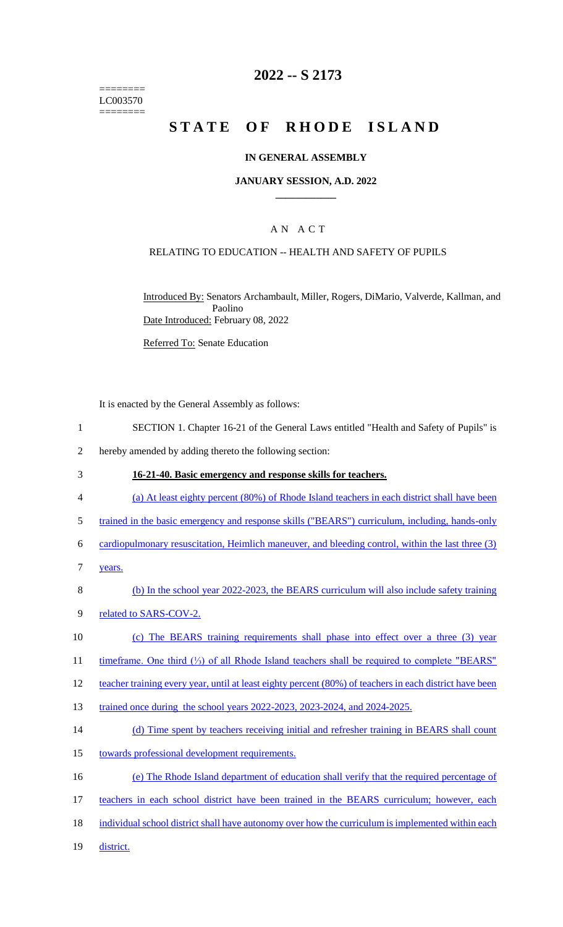======== LC003570 ========

## **2022 -- S 2173**

# **STATE OF RHODE ISLAND**

### **IN GENERAL ASSEMBLY**

### **JANUARY SESSION, A.D. 2022 \_\_\_\_\_\_\_\_\_\_\_\_**

### A N A C T

## RELATING TO EDUCATION -- HEALTH AND SAFETY OF PUPILS

Introduced By: Senators Archambault, Miller, Rogers, DiMario, Valverde, Kallman, and Paolino Date Introduced: February 08, 2022

Referred To: Senate Education

It is enacted by the General Assembly as follows:

- 1 SECTION 1. Chapter 16-21 of the General Laws entitled "Health and Safety of Pupils" is
- 2 hereby amended by adding thereto the following section:
- 3 **16-21-40. Basic emergency and response skills for teachers.**
- 4 (a) At least eighty percent (80%) of Rhode Island teachers in each district shall have been
- 5 trained in the basic emergency and response skills ("BEARS") curriculum, including, hands-only
- 6 cardiopulmonary resuscitation, Heimlich maneuver, and bleeding control, within the last three (3)
- 7 years.
- 8 (b) In the school year 2022-2023, the BEARS curriculum will also include safety training
- 9 related to SARS-COV-2.
- 10 (c) The BEARS training requirements shall phase into effect over a three (3) year
- 11 timeframe. One third (⅓) of all Rhode Island teachers shall be required to complete "BEARS"
- 12 teacher training every year, until at least eighty percent (80%) of teachers in each district have been
- 13 trained once during the school years 2022-2023, 2023-2024, and 2024-2025.
- 14 (d) Time spent by teachers receiving initial and refresher training in BEARS shall count
- 15 towards professional development requirements.
- 16 (e) The Rhode Island department of education shall verify that the required percentage of
- 17 teachers in each school district have been trained in the BEARS curriculum; however, each
- 18 individual school district shall have autonomy over how the curriculum is implemented within each
- 19 district.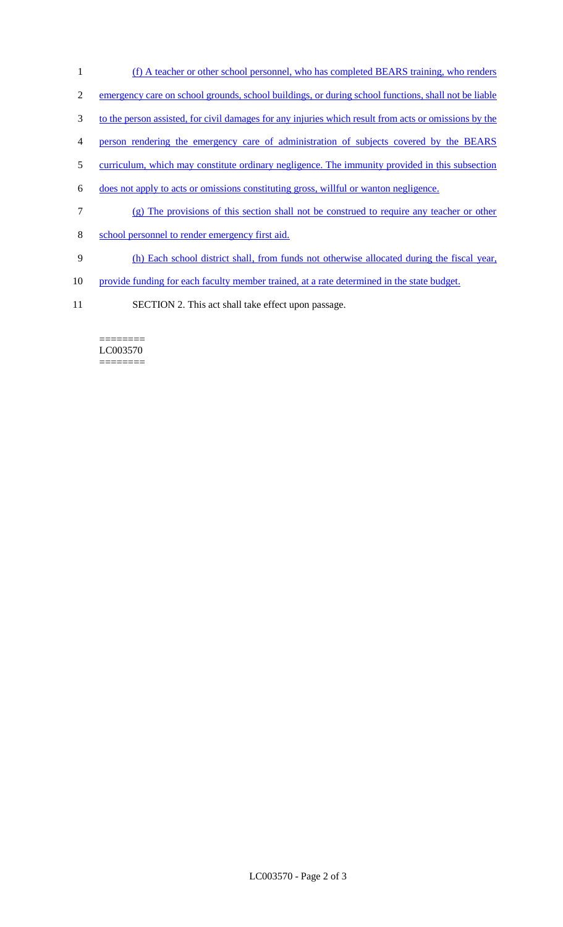- (f) A teacher or other school personnel, who has completed BEARS training, who renders
- emergency care on school grounds, school buildings, or during school functions, shall not be liable
- to the person assisted, for civil damages for any injuries which result from acts or omissions by the
- person rendering the emergency care of administration of subjects covered by the BEARS
- curriculum, which may constitute ordinary negligence. The immunity provided in this subsection
- does not apply to acts or omissions constituting gross, willful or wanton negligence.
- (g) The provisions of this section shall not be construed to require any teacher or other
- school personnel to render emergency first aid.
- (h) Each school district shall, from funds not otherwise allocated during the fiscal year,
- 10 provide funding for each faculty member trained, at a rate determined in the state budget.
- SECTION 2. This act shall take effect upon passage.

#### ======== LC003570 ========